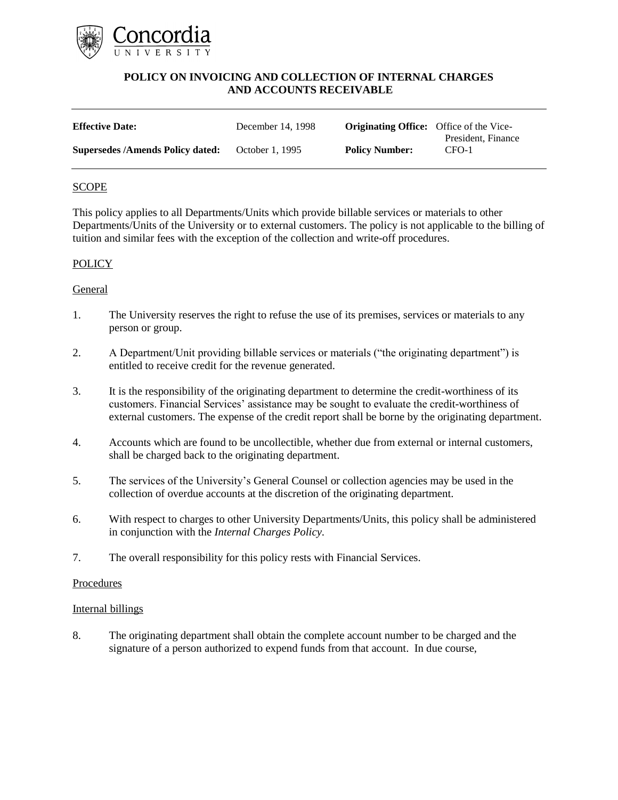

| <b>Effective Date:</b>                  | December 14, 1998 | <b>Originating Office:</b> Office of the Vice- |                             |
|-----------------------------------------|-------------------|------------------------------------------------|-----------------------------|
| <b>Supersedes /Amends Policy dated:</b> | October 1, 1995   | <b>Policy Number:</b>                          | President, Finance<br>CFO-1 |

## **SCOPE**

This policy applies to all Departments/Units which provide billable services or materials to other Departments/Units of the University or to external customers. The policy is not applicable to the billing of tuition and similar fees with the exception of the collection and write-off procedures.

## **POLICY**

## General

- 1. The University reserves the right to refuse the use of its premises, services or materials to any person or group.
- 2. A Department/Unit providing billable services or materials ("the originating department") is entitled to receive credit for the revenue generated.
- 3. It is the responsibility of the originating department to determine the credit-worthiness of its customers. Financial Services' assistance may be sought to evaluate the credit-worthiness of external customers. The expense of the credit report shall be borne by the originating department.
- 4. Accounts which are found to be uncollectible, whether due from external or internal customers, shall be charged back to the originating department.
- 5. The services of the University's General Counsel or collection agencies may be used in the collection of overdue accounts at the discretion of the originating department.
- 6. With respect to charges to other University Departments/Units, this policy shall be administered in conjunction with the *Internal Charges Policy*.
- 7. The overall responsibility for this policy rests with Financial Services.

### Procedures

### Internal billings

8. The originating department shall obtain the complete account number to be charged and the signature of a person authorized to expend funds from that account. In due course,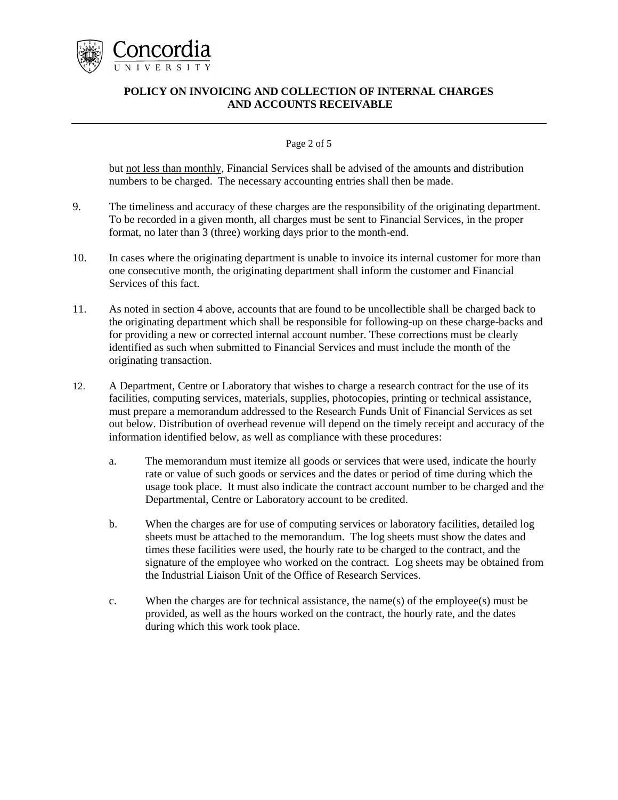

### Page 2 of 5

but not less than monthly, Financial Services shall be advised of the amounts and distribution numbers to be charged. The necessary accounting entries shall then be made.

- 9. The timeliness and accuracy of these charges are the responsibility of the originating department. To be recorded in a given month, all charges must be sent to Financial Services, in the proper format, no later than 3 (three) working days prior to the month-end.
- 10. In cases where the originating department is unable to invoice its internal customer for more than one consecutive month, the originating department shall inform the customer and Financial Services of this fact.
- 11. As noted in section 4 above, accounts that are found to be uncollectible shall be charged back to the originating department which shall be responsible for following-up on these charge-backs and for providing a new or corrected internal account number. These corrections must be clearly identified as such when submitted to Financial Services and must include the month of the originating transaction.
- 12. A Department, Centre or Laboratory that wishes to charge a research contract for the use of its facilities, computing services, materials, supplies, photocopies, printing or technical assistance, must prepare a memorandum addressed to the Research Funds Unit of Financial Services as set out below. Distribution of overhead revenue will depend on the timely receipt and accuracy of the information identified below, as well as compliance with these procedures:
	- a. The memorandum must itemize all goods or services that were used, indicate the hourly rate or value of such goods or services and the dates or period of time during which the usage took place. It must also indicate the contract account number to be charged and the Departmental, Centre or Laboratory account to be credited.
	- b. When the charges are for use of computing services or laboratory facilities, detailed log sheets must be attached to the memorandum. The log sheets must show the dates and times these facilities were used, the hourly rate to be charged to the contract, and the signature of the employee who worked on the contract. Log sheets may be obtained from the Industrial Liaison Unit of the Office of Research Services.
	- c. When the charges are for technical assistance, the name(s) of the employee(s) must be provided, as well as the hours worked on the contract, the hourly rate, and the dates during which this work took place.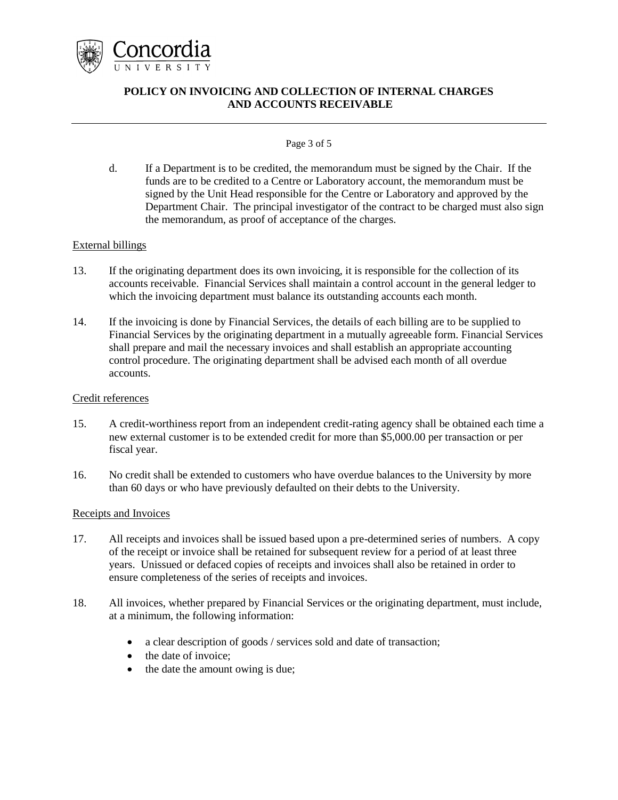

### Page 3 of 5

d. If a Department is to be credited, the memorandum must be signed by the Chair. If the funds are to be credited to a Centre or Laboratory account, the memorandum must be signed by the Unit Head responsible for the Centre or Laboratory and approved by the Department Chair. The principal investigator of the contract to be charged must also sign the memorandum, as proof of acceptance of the charges.

## External billings

- 13. If the originating department does its own invoicing, it is responsible for the collection of its accounts receivable. Financial Services shall maintain a control account in the general ledger to which the invoicing department must balance its outstanding accounts each month.
- 14. If the invoicing is done by Financial Services, the details of each billing are to be supplied to Financial Services by the originating department in a mutually agreeable form. Financial Services shall prepare and mail the necessary invoices and shall establish an appropriate accounting control procedure. The originating department shall be advised each month of all overdue accounts.

## Credit references

- 15. A credit-worthiness report from an independent credit-rating agency shall be obtained each time a new external customer is to be extended credit for more than \$5,000.00 per transaction or per fiscal year.
- 16. No credit shall be extended to customers who have overdue balances to the University by more than 60 days or who have previously defaulted on their debts to the University.

## Receipts and Invoices

- 17. All receipts and invoices shall be issued based upon a pre-determined series of numbers. A copy of the receipt or invoice shall be retained for subsequent review for a period of at least three years. Unissued or defaced copies of receipts and invoices shall also be retained in order to ensure completeness of the series of receipts and invoices.
- 18. All invoices, whether prepared by Financial Services or the originating department, must include, at a minimum, the following information:
	- a clear description of goods / services sold and date of transaction;
	- the date of invoice;
	- the date the amount owing is due;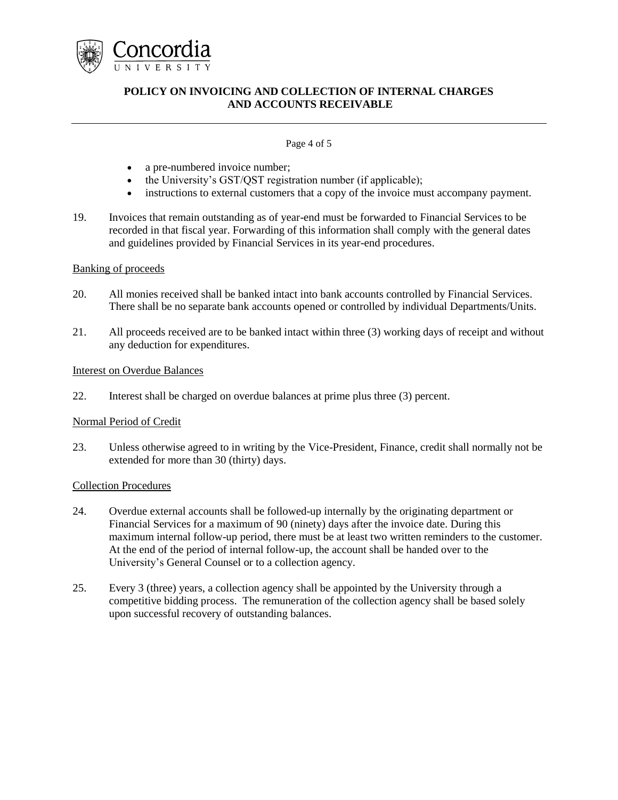

### Page 4 of 5

- a pre-numbered invoice number;
- the University's GST/QST registration number (if applicable);
- instructions to external customers that a copy of the invoice must accompany payment.
- 19. Invoices that remain outstanding as of year-end must be forwarded to Financial Services to be recorded in that fiscal year. Forwarding of this information shall comply with the general dates and guidelines provided by Financial Services in its year-end procedures.

## Banking of proceeds

- 20. All monies received shall be banked intact into bank accounts controlled by Financial Services. There shall be no separate bank accounts opened or controlled by individual Departments/Units.
- 21. All proceeds received are to be banked intact within three (3) working days of receipt and without any deduction for expenditures.

#### Interest on Overdue Balances

22. Interest shall be charged on overdue balances at prime plus three (3) percent.

### Normal Period of Credit

23. Unless otherwise agreed to in writing by the Vice-President, Finance, credit shall normally not be extended for more than 30 (thirty) days.

### Collection Procedures

- 24. Overdue external accounts shall be followed-up internally by the originating department or Financial Services for a maximum of 90 (ninety) days after the invoice date. During this maximum internal follow-up period, there must be at least two written reminders to the customer. At the end of the period of internal follow-up, the account shall be handed over to the University's General Counsel or to a collection agency.
- 25. Every 3 (three) years, a collection agency shall be appointed by the University through a competitive bidding process. The remuneration of the collection agency shall be based solely upon successful recovery of outstanding balances.